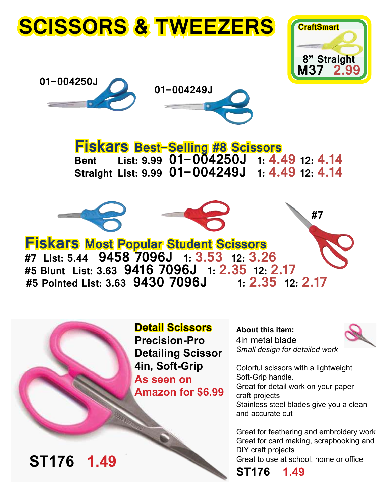# **SCISSORS & TWEEZERS**







**Fiskars Best-Selling #8 Scissors Bent List: 9.99 01-004250J 1: 4.49 12: 4.14 Straight List: 9.99 01-004249J 1: 4.49 12: 4.14**



**Detail Scissors Precision-Pro Detailing Scissor 4in, Soft-Grip As seen on Amazon for \$6.99**

**About this item:** 4in metal blade *Small design for detailed work*



Colorful scissors with a lightweight Soft-Grip handle.

Great for detail work on your paper craft projects Stainless steel blades give you a clean and accurate cut

Great for feathering and embroidery work Great for card making, scrapbooking and DIY craft projects

Great to use at school, home or office

**ST176 1.49**